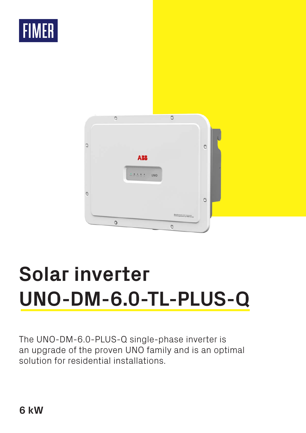



# **Solar inverter UNO-DM-6.0-TL-PLUS-Q**

The UNO-DM-6.0-PLUS-Q single-phase inverter is an upgrade of the proven UNO family and is an optimal solution for residential installations.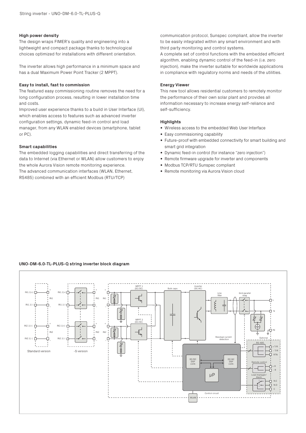#### **High power density**

The design wraps FIMER's quality and engineering into a lightweight and compact package thanks to technological choices optimized for installations with different orientation.

The inverter allows high performance in a minimum space and has a dual Maximum Power Point Tracker (2 MPPT).

#### **Easy to install, fast to commission**

The featured easy commissioning routine removes the need for a long configuration process, resulting in lower installation time and costs.

Improved user experience thanks to a build in User Interface (UI), which enables access to features such as advanced inverter configuration settings, dynamic feed-in control and load manager, from any WLAN enabled devices (smartphone, tablet or PC).

#### **Smart capabilities**

The embedded logging capabilities and direct transferring of the data to Internet (via Ethernet or WLAN) allow customers to enjoy the whole Aurora Vision remote monitoring experience. The advanced communication interfaces (WLAN, Ethernet, RS485) combined with an efficient Modbus (RTU/TCP)

communication protocol, Sunspec compliant, allow the inverter to be easily integrated within any smart environment and with third party monitoring and control systems.

A complete set of control functions with the embedded efficient algorithm, enabling dynamic control of the feed-in (i.e. zero injection), make the inverter suitable for worldwide applications in compliance with regulatory norms and needs of the utilities.

#### **Energy Viewer**

This new tool allows residential customers to remotely monitor the performance of their own solar plant and provides all information necessary to increase energy self-reliance and self-sufficiency.

#### **Highlights**

- Wireless access to the embedded Web User Interface
- Easy commissioning capability
- Future-proof with embedded connectivity for smart building and smart grid integration
- Dynamic feed-in control (for instance "zero injection")
- Remote firmware upgrade for inverter and components
- Modbus TCP/RTU Sunspec compliant
- Remote monitoring via Aurora Vision cloud

### **UNO-DM-6.0-TL-PLUS-Q string inverter block diagram**

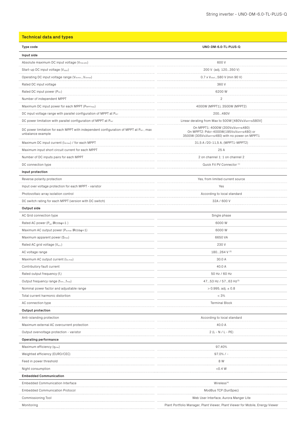## **Technical data and types**

| Type code                                                                                                  | UNO-DM-6.0-TL-PLUS-Q                                                                                                         |
|------------------------------------------------------------------------------------------------------------|------------------------------------------------------------------------------------------------------------------------------|
| Input side                                                                                                 |                                                                                                                              |
| Absolute maximum DC input voltage (V <sub>max,abs</sub> )                                                  | 600 V                                                                                                                        |
| Start-up DC input voltage (Vstart)                                                                         | 200 V (adj. 120350 V)                                                                                                        |
| Operating DC input voltage range (VdcminVdcmax)                                                            | 0.7 x V <sub>start.</sub> 580 V (min 90 V)                                                                                   |
| Rated DC input voltage                                                                                     | 360 V                                                                                                                        |
| Rated DC input power (Pdcr)                                                                                | 6200W                                                                                                                        |
| Number of independent MPPT                                                                                 | $\overline{2}$                                                                                                               |
| Maximum DC input power for each MPPT (PMPPTmax)                                                            | 4000W (MPPT1), 3500W (MPPT2)                                                                                                 |
| DC input voltage range with parallel configuration of MPPT at Pacr                                         | 200480V                                                                                                                      |
| DC power limitation with parallel configuration of MPPT at Pacr                                            | Linear derating from Max to 500W [480V≤VMPPT≤580V]                                                                           |
| DC power limitation for each MPPT with independent configuration of MPPT at Pacr, max<br>unbalance example | On MPPT1: 4000W (200V≤VMPPT≤480)<br>On MPPT2: Pdcr-4000W(195V≤VMPPT≤480) or<br>3500W (305V≤VMPPT≤480) with no power on MPPT1 |
| Maximum DC input current (Idcmax) / for each MPPT                                                          | 31,5 A /20-11,5 A, (MPPT1-MPPT2)                                                                                             |
| Maximum input short circuit current for each MPPT                                                          | 25 A                                                                                                                         |
| Number of DC inputs pairs for each MPPT                                                                    | 2 on channel 1: 1 on channel 2                                                                                               |
| DC connection type                                                                                         | Quick Fit PV Connector <sup>(1)</sup>                                                                                        |
| Input protection                                                                                           |                                                                                                                              |
| Reverse polarity protection                                                                                | Yes, from limited current source                                                                                             |
| Input over voltage protection for each MPPT - varistor                                                     | Yes                                                                                                                          |
| Photovoltaic array isolation control                                                                       | According to local standard                                                                                                  |
| DC switch rating for each MPPT (version with DC switch)                                                    | 32A / 600 V                                                                                                                  |
| Output side                                                                                                |                                                                                                                              |
| AC Grid connection type                                                                                    | Single phase                                                                                                                 |
| Rated AC power (P <sub>acr</sub> @cosq=1)                                                                  | 6000W                                                                                                                        |
| Maximum AC output power (Pacmax 回cosq=1)                                                                   | 6000W                                                                                                                        |
| Maximum apparent power (Smax)                                                                              | 6650 VA                                                                                                                      |
| Rated AC grid voltage (Vac.r)                                                                              | 230V                                                                                                                         |
| AC voltage range                                                                                           | 180264 V (2)                                                                                                                 |
| Maximum AC output current (lac.max)                                                                        | 30.0 A                                                                                                                       |
| Contributory fault current                                                                                 | 40.0 A                                                                                                                       |
| Rated output frequency (fr)                                                                                | 50 Hz / 60 Hz                                                                                                                |
| Output frequency range (fminfmax)                                                                          | 4753 Hz / 5763 Hz(3)                                                                                                         |
| Nominal power factor and adjustable range                                                                  | $> 0.995$ , adj. $\pm 0.8$                                                                                                   |
| Total current harmonic distortion                                                                          | $< 3\%$                                                                                                                      |
| AC connection type                                                                                         | <b>Terminal Block</b>                                                                                                        |
| <b>Output protection</b>                                                                                   |                                                                                                                              |
| Anti-islanding protection                                                                                  | According to local standard                                                                                                  |
| Maximum external AC overcurrent protection                                                                 | 40.0 A                                                                                                                       |
| Output overvoltage protection - varistor                                                                   | $2(L - N / L - PE)$                                                                                                          |
| Operating performance                                                                                      |                                                                                                                              |
| Maximum efficiency (η <sub>max</sub> )                                                                     | 97,40%                                                                                                                       |
| Weighted efficiency (EURO/CEC)                                                                             | 97.0% / -                                                                                                                    |
| Feed in power threshold                                                                                    | 8 W                                                                                                                          |
| Night consumption                                                                                          | <0.4 W                                                                                                                       |
| <b>Embedded Communication</b>                                                                              |                                                                                                                              |
| <b>Embedded Communication Interface</b>                                                                    | Writeless <sup>(4)</sup>                                                                                                     |
| <b>Embedded Communication Protocol</b>                                                                     | ModBus TCP (SunSpec)                                                                                                         |
| Commissioning Tool                                                                                         | Web User Interface, Aurora Manger Lite                                                                                       |
| Monitoring                                                                                                 | Plant Portfolio Manager, Plant Viewer, Plant Viewer for Mobile, Energy Viewer                                                |